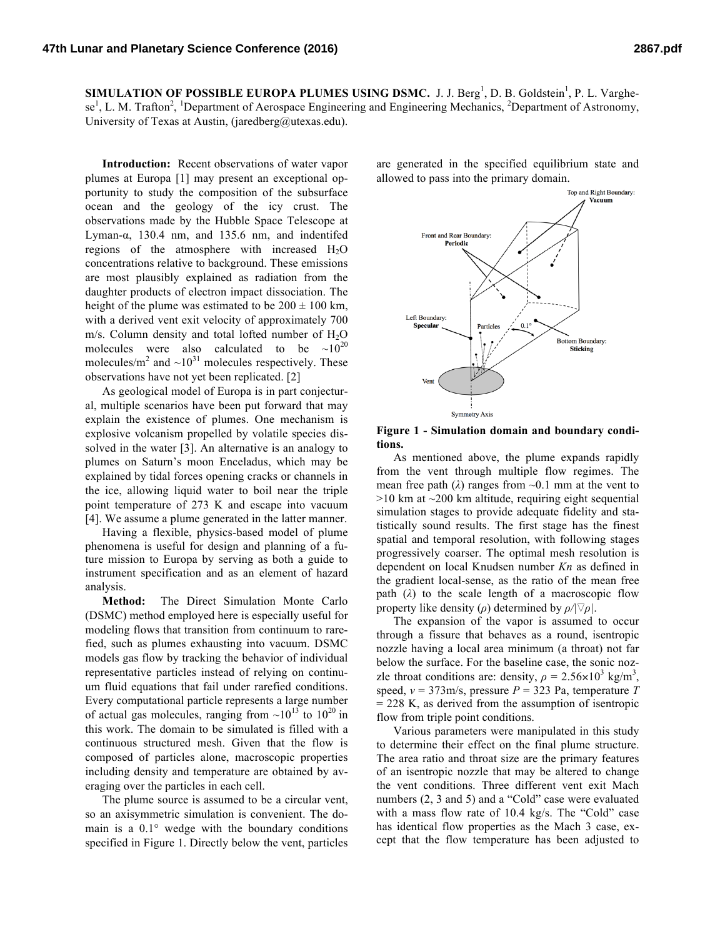**SIMULATION OF POSSIBLE EUROPA PLUMES USING DSMC.** J. J. Berg<sup>1</sup>, D. B. Goldstein<sup>1</sup>, P. L. Varghese<sup>1</sup>, L. M. Trafton<sup>2</sup>, <sup>1</sup>Department of Aerospace Engineering and Engineering Mechanics, <sup>2</sup>Department of Astronomy, University of Texas at Austin, (jaredberg@utexas.edu).

**Introduction:** Recent observations of water vapor plumes at Europa [1] may present an exceptional opportunity to study the composition of the subsurface ocean and the geology of the icy crust. The observations made by the Hubble Space Telescope at Lyman- $\alpha$ , 130.4 nm, and 135.6 nm, and indentifed regions of the atmosphere with increased  $H_2O$ concentrations relative to background. These emissions are most plausibly explained as radiation from the daughter products of electron impact dissociation. The height of the plume was estimated to be  $200 \pm 100$  km, with a derived vent exit velocity of approximately 700 m/s. Column density and total lofted number of  $H<sub>2</sub>O$ molecules were also calculated to be  $\sim 10^{20}$ molecules/ $m^2$  and  $\sim 10^{31}$  molecules respectively. These observations have not yet been replicated. [2]

As geological model of Europa is in part conjectural, multiple scenarios have been put forward that may explain the existence of plumes. One mechanism is explosive volcanism propelled by volatile species dissolved in the water [3]. An alternative is an analogy to plumes on Saturn's moon Enceladus, which may be explained by tidal forces opening cracks or channels in the ice, allowing liquid water to boil near the triple point temperature of 273 K and escape into vacuum [4]. We assume a plume generated in the latter manner.

Having a flexible, physics-based model of plume phenomena is useful for design and planning of a future mission to Europa by serving as both a guide to instrument specification and as an element of hazard analysis.

**Method:** The Direct Simulation Monte Carlo (DSMC) method employed here is especially useful for modeling flows that transition from continuum to rarefied, such as plumes exhausting into vacuum. DSMC models gas flow by tracking the behavior of individual representative particles instead of relying on continuum fluid equations that fail under rarefied conditions. Every computational particle represents a large number of actual gas molecules, ranging from  $\sim 10^{13}$  to  $10^{20}$  in this work. The domain to be simulated is filled with a continuous structured mesh. Given that the flow is composed of particles alone, macroscopic properties including density and temperature are obtained by averaging over the particles in each cell.

The plume source is assumed to be a circular vent, so an axisymmetric simulation is convenient. The domain is a 0.1° wedge with the boundary conditions specified in Figure 1. Directly below the vent, particles are generated in the specified equilibrium state and allowed to pass into the primary domain.



**Figure 1 - Simulation domain and boundary conditions.**

As mentioned above, the plume expands rapidly from the vent through multiple flow regimes. The mean free path ( $\lambda$ ) ranges from  $\sim$ 0.1 mm at the vent to  $>10$  km at  $\sim$ 200 km altitude, requiring eight sequential simulation stages to provide adequate fidelity and statistically sound results. The first stage has the finest spatial and temporal resolution, with following stages progressively coarser. The optimal mesh resolution is dependent on local Knudsen number *Kn* as defined in the gradient local-sense, as the ratio of the mean free path  $(\lambda)$  to the scale length of a macroscopic flow property like density ( $\rho$ ) determined by  $\rho / |\nabla \rho|$ .

The expansion of the vapor is assumed to occur through a fissure that behaves as a round, isentropic nozzle having a local area minimum (a throat) not far below the surface. For the baseline case, the sonic nozzle throat conditions are: density,  $\rho = 2.56 \times 10^3$  kg/m<sup>3</sup>, speed,  $v = 373$ m/s, pressure  $P = 323$  Pa, temperature *T*  $= 228$  K, as derived from the assumption of isentropic flow from triple point conditions.

Various parameters were manipulated in this study to determine their effect on the final plume structure. The area ratio and throat size are the primary features of an isentropic nozzle that may be altered to change the vent conditions. Three different vent exit Mach numbers (2, 3 and 5) and a "Cold" case were evaluated with a mass flow rate of 10.4 kg/s. The "Cold" case has identical flow properties as the Mach 3 case, except that the flow temperature has been adjusted to